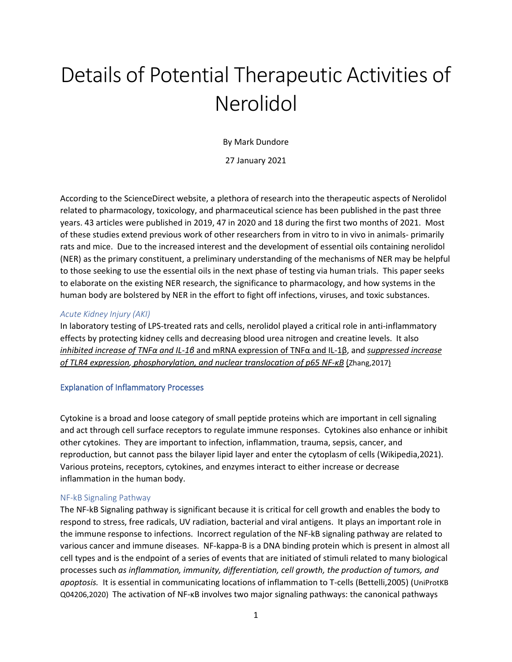# Details of Potential Therapeutic Activities of Nerolidol

By Mark Dundore

27 January 2021

According to the ScienceDirect website, a plethora of research into the therapeutic aspects of Nerolidol related to pharmacology, toxicology, and pharmaceutical science has been published in the past three years. 43 articles were published in 2019, 47 in 2020 and 18 during the first two months of 2021. Most of these studies extend previous work of other researchers from in vitro to in vivo in animals- primarily rats and mice. Due to the increased interest and the development of essential oils containing nerolidol (NER) as the primary constituent, a preliminary understanding of the mechanisms of NER may be helpful to those seeking to use the essential oils in the next phase of testing via human trials. This paper seeks to elaborate on the existing NER research, the significance to pharmacology, and how systems in the human body are bolstered by NER in the effort to fight off infections, viruses, and toxic substances.

## *Acute Kidney Injury (AKI)*

In laboratory testing of LPS-treated rats and cells, nerolidol played a critical role in anti-inflammatory effects by protecting kidney cells and decreasing blood urea nitrogen and creatine levels. It also *inhibited increase of TNFα and IL-1β* and mRNA expression of TNFα and IL-1β, and *suppressed increase of TLR4 expression, phosphorylation, and nuclear translocation of p65 NF-κB* (Zhang,2017)

#### Explanation of Inflammatory Processes

Cytokine is a broad and loose category of small peptide proteins which are important in cell signaling and act through cell surface receptors to regulate immune responses. Cytokines also enhance or inhibit other cytokines. They are important to infection, inflammation, trauma, sepsis, cancer, and reproduction, but cannot pass the bilayer lipid layer and enter the cytoplasm of cells (Wikipedia,2021). Various proteins, receptors, cytokines, and enzymes interact to either increase or decrease inflammation in the human body.

#### NF-kB Signaling Pathway

The NF-kB Signaling pathway is significant because it is critical for cell growth and enables the body to respond to stress, free radicals, UV radiation, bacterial and viral antigens. It plays an important role in the immune response to infections. Incorrect regulation of the NF-kB signaling pathway are related to various cancer and immune diseases. NF-kappa-B is a DNA binding protein which is present in almost all cell types and is the endpoint of a series of events that are initiated of stimuli related to many biological processes such *as inflammation, immunity, differentiation, cell growth, the production of tumors, and apoptosis.* It is essential in communicating locations of inflammation to T-cells (Bettelli,2005) (UniProtKB Q04206,2020) The activation of NF-κB involves two major signaling pathways: the canonical pathways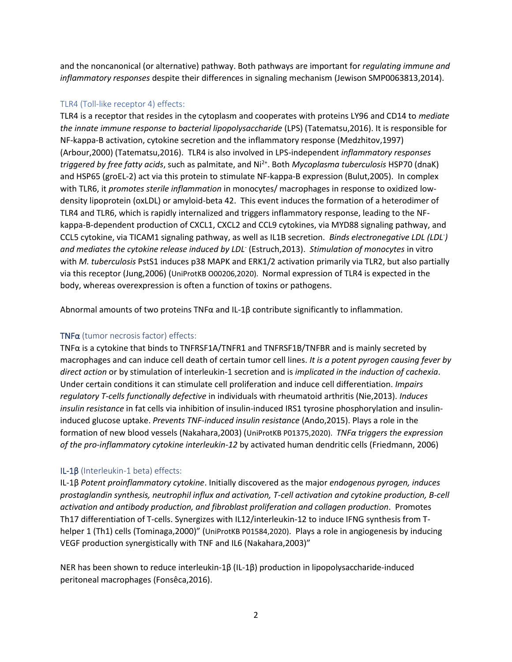and the noncanonical (or alternative) pathway. Both pathways are important for *regulating immune and inflammatory responses* despite their differences in signaling mechanism (Jewison SMP0063813,2014).

# TLR4 (Toll-like receptor 4) effects:

TLR4 is a receptor that resides in the cytoplasm and cooperates with proteins LY96 and CD14 to *mediate the innate immune response to bacterial lipopolysaccharide* (LPS) (Tatematsu,2016). It is responsible for NF-kappa-B activation, cytokine secretion and the inflammatory response (Medzhitov,1997) (Arbour,2000) (Tatematsu,2016). TLR4 is also involved in LPS-independent *inflammatory responses triggered by free fatty acids*, such as palmitate, and Ni2+. Both *Mycoplasma tuberculosis* HSP70 (dnaK) and HSP65 (groEL-2) act via this protein to stimulate NF-kappa-B expression (Bulut,2005). In complex with TLR6, it *promotes sterile inflammation* in monocytes/ macrophages in response to oxidized lowdensity lipoprotein (oxLDL) or amyloid-beta 42. This event induces the formation of a heterodimer of TLR4 and TLR6, which is rapidly internalized and triggers inflammatory response, leading to the NFkappa-B-dependent production of CXCL1, CXCL2 and CCL9 cytokines, via MYD88 signaling pathway, and CCL5 cytokine, via TICAM1 signaling pathway, as well as IL1B secretion. *Binds electronegative LDL (LDL- ) and mediates the cytokine release induced by LDL*- (Estruch,2013). *Stimulation of monocytes* in vitro with *M. tuberculosis* PstS1 induces p38 MAPK and ERK1/2 activation primarily via TLR2, but also partially via this receptor (Jung,2006) (UniProtKB O00206,2020). Normal expression of TLR4 is expected in the body, whereas overexpression is often a function of toxins or pathogens.

Abnormal amounts of two proteins TNFα and IL-1β contribute significantly to inflammation.

# TNFα (tumor necrosis factor) effects:

TNFα is a cytokine that binds to TNFRSF1A/TNFR1 and TNFRSF1B/TNFBR and is mainly secreted by macrophages and can induce cell death of certain tumor cell lines. *It is a potent pyrogen causing fever by direct action* or by stimulation of interleukin-1 secretion and is *implicated in the induction of cachexia*. Under certain conditions it can stimulate cell proliferation and induce cell differentiation. *Impairs regulatory T-cells functionally defective* in individuals with rheumatoid arthritis (Nie,2013). *Induces insulin resistance* in fat cells via inhibition of insulin-induced IRS1 tyrosine phosphorylation and insulininduced glucose uptake. *Prevents TNF-induced insulin resistance* (Ando,2015). Plays a role in the formation of new blood vessels (Nakahara,2003) (UniProtKB P01375,2020). *TNFα triggers the expression of the pro-inflammatory cytokine interleukin-12* by activated human dendritic cells (Friedmann, 2006)

# IL-1β (Interleukin-1 beta) effects:

IL-1β *Potent proinflammatory cytokine*. Initially discovered as the major *endogenous pyrogen, induces prostaglandin synthesis, neutrophil influx and activation, T-cell activation and cytokine production, B-cell activation and antibody production, and fibroblast proliferation and collagen production*. Promotes Th17 differentiation of T-cells. Synergizes with IL12/interleukin-12 to induce IFNG synthesis from Thelper 1 (Th1) cells (Tominaga,2000)" (UniProtKB P01584,2020). Plays a role in angiogenesis by inducing VEGF production synergistically with TNF and IL6 (Nakahara,2003)"

NER has been shown to reduce interleukin-1β (IL-1β) production in lipopolysaccharide-induced peritoneal macrophages (Fonsêca,2016).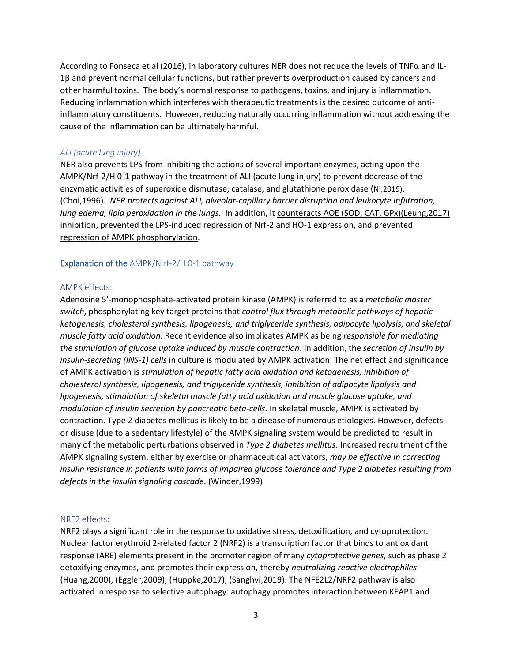According to Fonseca et al (2016), in laboratory cultures NER does not reduce the levels of TNFα and IL-1β and prevent normal cellular functions, but rather prevents overproduction caused by cancers and other harmful toxins. The body's normal response to pathogens, toxins, and injury is inflammation. Reducing inflammation which interferes with therapeutic treatments is the desired outcome of antiinflammatory constituents. However, reducing naturally occurring inflammation without addressing the cause of the inflammation can be ultimately harmful.

#### *ALI (acute lung injury)*

NER also prevents LPS from inhibiting the actions of several important enzymes, acting upon the AMPK/Nrf-2/H 0-1 pathway in the treatment of ALI (acute lung injury) to prevent decrease of the enzymatic activities of superoxide dismutase, catalase, and glutathione peroxidase (Ni,2019), (Choi,1996). *NER protects against ALI, alveolar-capillary barrier disruption and leukocyte infiltration, lung edema, lipid peroxidation in the lungs*. In addition, it counteracts AOE (SOD, CAT, GPx)(Leung,2017) inhibition, prevented the LPS-induced repression of Nrf-2 and HO-1 expression, and prevented repression of AMPK phosphorylation.

## Explanation of the AMPK/N rf-2/H 0-1 pathway

## AMPK effects:

Adenosine 5'-monophosphate-activated protein kinase (AMPK) is referred to as a *metabolic master switch*, phosphorylating key target proteins that *control flux through metabolic pathways of hepatic ketogenesis, cholesterol synthesis, lipogenesis, and triglyceride synthesis, adipocyte lipolysis, and skeletal muscle fatty acid oxidation*. Recent evidence also implicates AMPK as being *responsible for mediating the stimulation of glucose uptake induced by muscle contraction*. In addition, the *secretion of insulin by insulin-secreting (INS-1) cells* in culture is modulated by AMPK activation. The net effect and significance of AMPK activation is *stimulation of hepatic fatty acid oxidation and ketogenesis, inhibition of cholesterol synthesis, lipogenesis, and triglyceride synthesis, inhibition of adipocyte lipolysis and lipogenesis, stimulation of skeletal muscle fatty acid oxidation and muscle glucose uptake, and modulation of insulin secretion by pancreatic beta-cells*. In skeletal muscle, AMPK is activated by contraction. Type 2 diabetes mellitus is likely to be a disease of numerous etiologies. However, defects or disuse (due to a sedentary lifestyle) of the AMPK signaling system would be predicted to result in many of the metabolic perturbations observed in *Type 2 diabetes mellitus*. Increased recruitment of the AMPK signaling system, either by exercise or pharmaceutical activators, *may be effective in correcting insulin resistance in patients with forms of impaired glucose tolerance and Type 2 diabetes resulting from defects in the insulin signaling cascade*. (Winder,1999)

## NRF2 effects:

NRF2 plays a significant role in the response to oxidative stress, detoxification, and cytoprotection. Nuclear factor erythroid 2-related factor 2 (NRF2) is a transcription factor that binds to antioxidant response (ARE) elements present in the promoter region of many *cytoprotective genes*, such as phase 2 detoxifying enzymes, and promotes their expression, thereby *neutralizing reactive electrophiles* (Huang,2000), (Eggler,2009), (Huppke,2017), (Sanghvi,2019). The NFE2L2/NRF2 pathway is also activated in response to selective autophagy: autophagy promotes interaction between KEAP1 and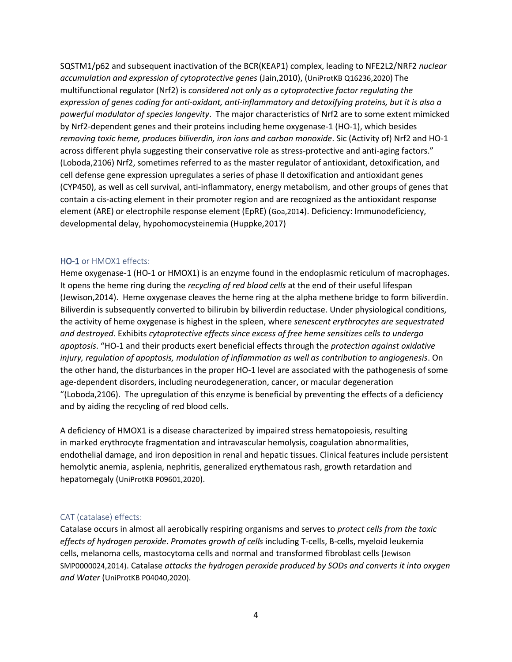SQSTM1/p62 and subsequent inactivation of the BCR(KEAP1) complex, leading to NFE2L2/NRF2 *nuclear accumulation and expression of cytoprotective genes* (Jain,2010), (UniProtKB Q16236,2020) The multifunctional regulator (Nrf2) is *considered not only as a cytoprotective factor regulating the expression of genes coding for anti-oxidant, anti-inflammatory and detoxifying proteins, but it is also a powerful modulator of species longevity*. The major characteristics of Nrf2 are to some extent mimicked by Nrf2-dependent genes and their proteins including heme oxygenase-1 (HO-1), which besides *removing toxic heme, produces biliverdin, iron ions and carbon monoxide*. Sic (Activity of) Nrf2 and HO-1 across different phyla suggesting their conservative role as stress-protective and anti-aging factors." (Loboda,2106) Nrf2, sometimes referred to as the master regulator of antioxidant, detoxification, and cell defense gene expression upregulates a series of phase II detoxification and antioxidant genes (CYP450), as well as cell survival, anti-inflammatory, energy metabolism, and other groups of genes that contain a cis-acting element in their promoter region and are recognized as the antioxidant response element (ARE) or electrophile response element (EpRE) (Goa,2014). Deficiency: Immunodeficiency, developmental delay, hypohomocysteinemia (Huppke,2017)

## HO-1 or HMOX1 effects:

Heme oxygenase-1 (HO-1 or HMOX1) is an enzyme found in the endoplasmic reticulum of macrophages. It opens the heme ring during the *recycling of red blood cells* at the end of their useful lifespan (Jewison,2014). Heme oxygenase cleaves the heme ring at the alpha methene bridge to form biliverdin. Biliverdin is subsequently converted to bilirubin by biliverdin reductase. Under physiological conditions, the activity of heme oxygenase is highest in the spleen, where *senescent erythrocytes are sequestrated and destroyed*. Exhibits *cytoprotective effects since excess of free heme sensitizes cells to undergo apoptosis*. "HO-1 and their products exert beneficial effects through the *protection against oxidative injury, regulation of apoptosis, modulation of inflammation as well as contribution to angiogenesis*. On the other hand, the disturbances in the proper HO-1 level are associated with the pathogenesis of some age-dependent disorders, including neurodegeneration, cancer, or macular degeneration "(Loboda,2106). The upregulation of this enzyme is beneficial by preventing the effects of a deficiency and by aiding the recycling of red blood cells.

A deficiency of HMOX1 is a disease characterized by impaired stress hematopoiesis, resulting in marked erythrocyte fragmentation and intravascular hemolysis, coagulation abnormalities, endothelial damage, and iron deposition in renal and hepatic tissues. Clinical features include persistent hemolytic anemia, asplenia, nephritis, generalized erythematous rash, growth retardation and hepatomegaly (UniProtKB P09601,2020).

#### CAT (catalase) effects:

Catalase occurs in almost all aerobically respiring organisms and serves to *protect cells from the toxic effects of hydrogen peroxide*. *Promotes growth of cells* including T-cells, B-cells, myeloid leukemia cells, melanoma cells, mastocytoma cells and normal and transformed fibroblast cells (Jewison SMP0000024,2014). Catalase *attacks the hydrogen peroxide produced by SODs and converts it into oxygen and Water* (UniProtKB P04040,2020).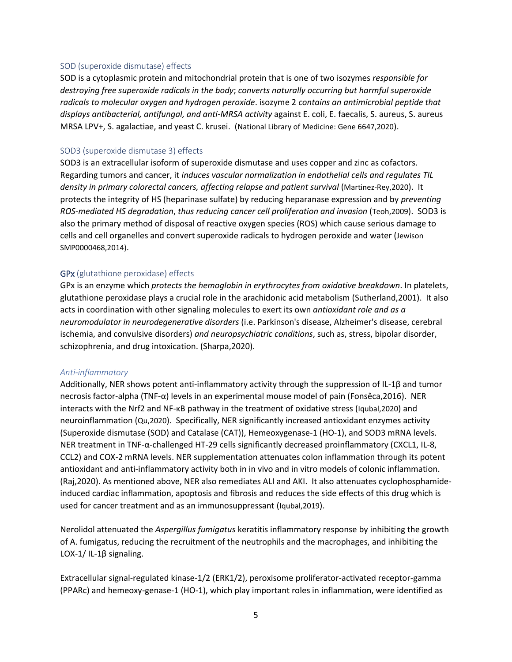#### SOD (superoxide dismutase) effects

SOD is a cytoplasmic protein and mitochondrial protein that is one of two isozymes *responsible for destroying free superoxide radicals in the body*; *converts naturally occurring but harmful superoxide radicals to molecular oxygen and hydrogen peroxide*. isozyme 2 *contains an antimicrobial peptide that displays antibacterial, antifungal, and anti-MRSA activity* against E. coli, E. faecalis, S. aureus, S. aureus MRSA LPV+, S. agalactiae, and yeast C. krusei. (National Library of Medicine: Gene 6647,2020).

#### SOD3 (superoxide dismutase 3) effects

SOD3 is an extracellular isoform of superoxide dismutase and uses copper and zinc as cofactors. Regarding tumors and cancer, it *induces vascular normalization in endothelial cells and regulates TIL density in primary colorectal cancers, affecting relapse and patient survival* (Martinez-Rey,2020). It protects the integrity of HS (heparinase sulfate) by reducing heparanase expression and by *preventing ROS-mediated HS degradation*, *thus reducing cancer cell proliferation and invasion* (Teoh,2009). SOD3 is also the primary method of disposal of reactive oxygen species (ROS) which cause serious damage to cells and cell organelles and convert superoxide radicals to hydrogen peroxide and water (Jewison SMP0000468,2014).

#### GPx (glutathione peroxidase) effects

GPx is an enzyme which *protects the hemoglobin in erythrocytes from oxidative breakdown*. In platelets, glutathione peroxidase plays a crucial role in the arachidonic acid metabolism (Sutherland,2001). It also acts in coordination with other signaling molecules to exert its own *antioxidant role and as a neuromodulator in neurodegenerative disorders* (i.e. Parkinson's disease, Alzheimer's disease, cerebral ischemia, and convulsive disorders) *and neuropsychiatric conditions*, such as, stress, bipolar disorder, schizophrenia, and drug intoxication. (Sharpa,2020).

#### *Anti-inflammatory*

Additionally, NER shows potent anti-inflammatory activity through the suppression of IL-1β and tumor necrosis factor-alpha (TNF-α) levels in an experimental mouse model of pain (Fonsêca,2016). NER interacts with the Nrf2 and NF-κB pathway in the treatment of oxidative stress (Iqubal,2020) and neuroinflammation (Qu,2020). Specifically, NER significantly increased antioxidant enzymes activity (Superoxide dismutase (SOD) and Catalase (CAT)), Hemeoxygenase-1 (HO-1), and SOD3 mRNA levels. NER treatment in TNF-α-challenged HT-29 cells significantly decreased proinflammatory (CXCL1, IL-8, CCL2) and COX-2 mRNA levels. NER supplementation attenuates colon inflammation through its potent antioxidant and anti-inflammatory activity both in in vivo and in vitro models of colonic inflammation. (Raj,2020). As mentioned above, NER also remediates ALI and AKI. It also attenuates cyclophosphamideinduced cardiac inflammation, apoptosis and fibrosis and reduces the side effects of this drug which is used for cancer treatment and as an immunosuppressant (Iqubal,2019).

Nerolidol attenuated the *Aspergillus fumigatus* keratitis inflammatory response by inhibiting the growth of A. fumigatus, reducing the recruitment of the neutrophils and the macrophages, and inhibiting the LOX-1/ IL-1β signaling.

Extracellular signal-regulated kinase-1/2 (ERK1/2), peroxisome proliferator-activated receptor-gamma (PPARc) and hemeoxy-genase-1 (HO-1), which play important roles in inflammation, were identified as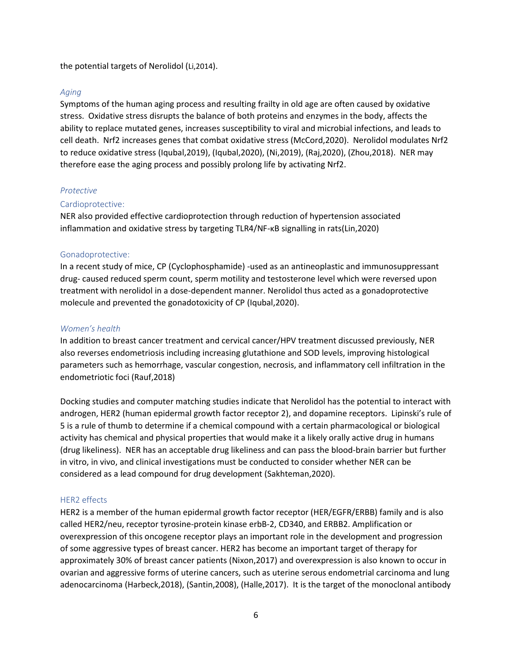the potential targets of Nerolidol (Li,2014).

## *Aging*

Symptoms of the human aging process and resulting frailty in old age are often caused by oxidative stress. Oxidative stress disrupts the balance of both proteins and enzymes in the body, affects the ability to replace mutated genes, increases susceptibility to viral and microbial infections, and leads to cell death. Nrf2 increases genes that combat oxidative stress (McCord,2020). Nerolidol modulates Nrf2 to reduce oxidative stress (Iqubal,2019), (Iqubal,2020), (Ni,2019), (Raj,2020), (Zhou,2018). NER may therefore ease the aging process and possibly prolong life by activating Nrf2.

## *Protective*

## Cardioprotective:

NER also provided effective cardioprotection through reduction of hypertension associated inflammation and oxidative stress by targeting TLR4/NF-κB signalling in rats(Lin,2020)

## Gonadoprotective:

In a recent study of mice, CP (Cyclophosphamide) -used as an antineoplastic and immunosuppressant drug- caused reduced sperm count, sperm motility and testosterone level which were reversed upon treatment with nerolidol in a dose-dependent manner. Nerolidol thus acted as a gonadoprotective molecule and prevented the gonadotoxicity of CP (Iqubal,2020).

### *Women's health*

In addition to breast cancer treatment and cervical cancer/HPV treatment discussed previously, NER also reverses endometriosis including increasing glutathione and SOD levels, improving histological parameters such as hemorrhage, vascular congestion, necrosis, and inflammatory cell infiltration in the endometriotic foci (Rauf,2018)

Docking studies and computer matching studies indicate that Nerolidol has the potential to interact with androgen, HER2 (human epidermal growth factor receptor 2), and dopamine receptors. Lipinski's rule of 5 is a rule of thumb to determine if a chemical compound with a certain pharmacological or biological activity has chemical and physical properties that would make it a likely orally active drug in humans (drug likeliness). NER has an acceptable drug likeliness and can pass the blood-brain barrier but further in vitro, in vivo, and clinical investigations must be conducted to consider whether NER can be considered as a lead compound for drug development (Sakhteman,2020).

#### HER2 effects

HER2 is a member of the human epidermal growth factor receptor (HER/EGFR/ERBB) family and is also called HER2/neu, receptor tyrosine-protein kinase erbB-2, CD340, and ERBB2. Amplification or overexpression of this oncogene receptor plays an important role in the development and progression of some aggressive types of breast cancer. HER2 has become an important target of therapy for approximately 30% of breast cancer patients (Nixon,2017) and overexpression is also known to occur in ovarian and aggressive forms of uterine cancers, such as uterine serous endometrial carcinoma and lung adenocarcinoma (Harbeck,2018), (Santin,2008), (Halle,2017). It is the target of the monoclonal antibody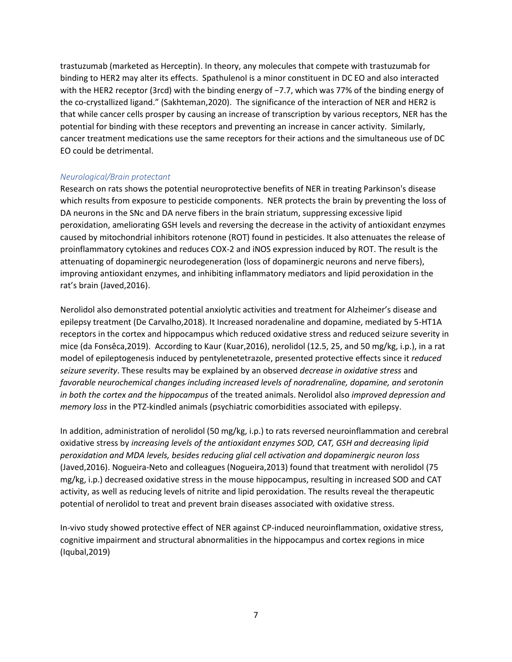trastuzumab (marketed as Herceptin). In theory, any molecules that compete with trastuzumab for binding to HER2 may alter its effects. Spathulenol is a minor constituent in DC EO and also interacted with the HER2 receptor (3rcd) with the binding energy of −7.7, which was 77% of the binding energy of the co-crystallized ligand." (Sakhteman,2020). The significance of the interaction of NER and HER2 is that while cancer cells prosper by causing an increase of transcription by various receptors, NER has the potential for binding with these receptors and preventing an increase in cancer activity. Similarly, cancer treatment medications use the same receptors for their actions and the simultaneous use of DC EO could be detrimental.

## *Neurological/Brain protectant*

Research on rats shows the potential neuroprotective benefits of NER in treating Parkinson's disease which results from exposure to pesticide components. NER protects the brain by preventing the loss of DA neurons in the SNc and DA nerve fibers in the brain striatum, suppressing excessive lipid peroxidation, ameliorating GSH levels and reversing the decrease in the activity of antioxidant enzymes caused by mitochondrial inhibitors rotenone (ROT) found in pesticides. It also attenuates the release of proinflammatory cytokines and reduces COX-2 and iNOS expression induced by ROT. The result is the attenuating of dopaminergic neurodegeneration (loss of dopaminergic neurons and nerve fibers), improving antioxidant enzymes, and inhibiting inflammatory mediators and lipid peroxidation in the rat's brain (Javed,2016).

Nerolidol also demonstrated potential anxiolytic activities and treatment for Alzheimer's disease and epilepsy treatment (De Carvalho,2018). It Increased noradenaline and dopamine, mediated by 5-HT1A receptors in the cortex and hippocampus which reduced oxidative stress and reduced seizure severity in mice (da Fonsêca,2019). According to Kaur (Kuar,2016), nerolidol (12.5, 25, and 50 mg/kg, i.p.), in a rat model of epileptogenesis induced by pentylenetetrazole, presented protective effects since it *reduced seizure severity*. These results may be explained by an observed *decrease in oxidative stress* and *favorable neurochemical changes including increased levels of noradrenaline, dopamine, and serotonin in both the cortex and the hippocampus* of the treated animals. Nerolidol also *improved depression and memory loss* in the PTZ-kindled animals (psychiatric comorbidities associated with epilepsy.

In addition, administration of nerolidol (50 mg/kg, i.p.) to rats reversed neuroinflammation and cerebral oxidative stress by *increasing levels of the antioxidant enzymes SOD, CAT, GSH and decreasing lipid peroxidation and MDA levels, besides reducing glial cell activation and dopaminergic neuron loss* (Javed,2016). Nogueira-Neto and colleagues (Nogueira,2013) found that treatment with nerolidol (75 mg/kg, i.p.) decreased oxidative stress in the mouse hippocampus, resulting in increased SOD and CAT activity, as well as reducing levels of nitrite and lipid peroxidation. The results reveal the therapeutic potential of nerolidol to treat and prevent brain diseases associated with oxidative stress.

In-vivo study showed protective effect of NER against CP-induced neuroinflammation, oxidative stress, cognitive impairment and structural abnormalities in the hippocampus and cortex regions in mice (Iqubal,2019)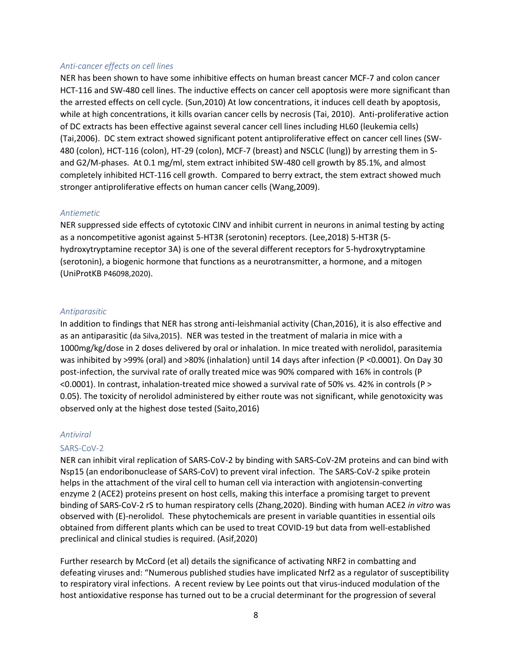#### *Anti-cancer effects on cell lines*

NER has been shown to have some inhibitive effects on human breast cancer MCF-7 and colon cancer HCT-116 and SW-480 cell lines. The inductive effects on cancer cell apoptosis were more significant than the arrested effects on cell cycle. (Sun,2010) At low concentrations, it induces cell death by apoptosis, while at high concentrations, it kills ovarian cancer cells by necrosis (Tai, 2010). Anti-proliferative action of DC extracts has been effective against several cancer cell lines including HL60 (leukemia cells) (Tai,2006). DC stem extract showed significant potent antiproliferative effect on cancer cell lines (SW-480 (colon), HCT-116 (colon), HT-29 (colon), MCF-7 (breast) and NSCLC (lung)) by arresting them in Sand G2/M-phases. At 0.1 mg/ml, stem extract inhibited SW-480 cell growth by 85.1%, and almost completely inhibited HCT-116 cell growth. Compared to berry extract, the stem extract showed much stronger antiproliferative effects on human cancer cells (Wang,2009).

#### *Antiemetic*

NER suppressed side effects of cytotoxic CINV and inhibit current in neurons in animal testing by acting as a noncompetitive agonist against 5-HT3R (serotonin) receptors. (Lee,2018) 5-HT3R (5 hydroxytryptamine receptor 3A) is one of the several different receptors for 5-hydroxytryptamine (serotonin), a biogenic hormone that functions as a neurotransmitter, a hormone, and a mitogen (UniProtKB P46098,2020).

#### *Antiparasitic*

In addition to findings that NER has strong anti-leishmanial activity (Chan,2016), it is also effective and as an antiparasitic (da Silva,2015). NER was tested in the treatment of malaria in mice with a 1000mg/kg/dose in 2 doses delivered by oral or inhalation. In mice treated with nerolidol, parasitemia was inhibited by >99% (oral) and >80% (inhalation) until 14 days after infection (P <0.0001). On Day 30 post-infection, the survival rate of orally treated mice was 90% compared with 16% in controls (P <0.0001). In contrast, inhalation-treated mice showed a survival rate of 50% vs. 42% in controls (P > 0.05). The toxicity of nerolidol administered by either route was not significant, while genotoxicity was observed only at the highest dose tested (Saito,2016)

#### *Antiviral*

#### SARS-CoV-2

NER can inhibit viral replication of SARS-CoV-2 by binding with SARS-CoV-2M proteins and can bind with Nsp15 (an endoribonuclease of SARS-CoV) to prevent viral infection. The SARS-CoV-2 spike protein helps in the attachment of the viral cell to human cell via interaction with angiotensin-converting enzyme 2 (ACE2) proteins present on host cells, making this interface a promising target to prevent binding of SARS-CoV-2 rS to human respiratory cells (Zhang,2020). Binding with human ACE2 *in vitro* was observed with (E)-nerolidol. These phytochemicals are present in variable quantities in essential oils obtained from different plants which can be used to treat COVID-19 but data from well-established preclinical and clinical studies is required. (Asif,2020)

Further research by McCord (et al) details the significance of activating NRF2 in combatting and defeating viruses and: "Numerous published studies have implicated Nrf2 as a regulator of susceptibility to respiratory viral infections. A recent review by Lee points out that virus-induced modulation of the host antioxidative response has turned out to be a crucial determinant for the progression of several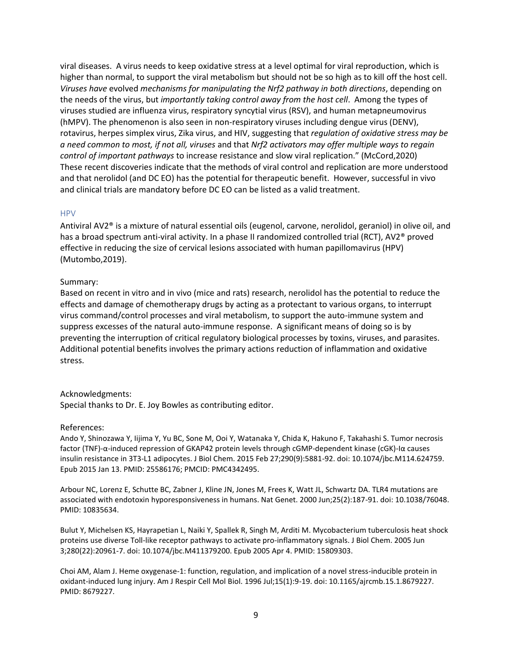viral diseases. A virus needs to keep oxidative stress at a level optimal for viral reproduction, which is higher than normal, to support the viral metabolism but should not be so high as to kill off the host cell. *Viruses have* evolved *mechanisms for manipulating the Nrf2 pathway in both directions*, depending on the needs of the virus, but *importantly taking control away from the host cell*. Among the types of viruses studied are influenza virus, respiratory syncytial virus (RSV), and human metapneumovirus (hMPV). The phenomenon is also seen in non-respiratory viruses including dengue virus (DENV), rotavirus, herpes simplex virus, Zika virus, and HIV, suggesting that *regulation of oxidative stress may be a need common to most, if not all, viruses* and that *Nrf2 activators may offer multiple ways to regain control of important pathways* to increase resistance and slow viral replication." (McCord,2020) These recent discoveries indicate that the methods of viral control and replication are more understood and that nerolidol (and DC EO) has the potential for therapeutic benefit. However, successful in vivo and clinical trials are mandatory before DC EO can be listed as a valid treatment.

#### HPV

Antiviral AV2® is a mixture of natural essential oils (eugenol, carvone, nerolidol, geraniol) in olive oil, and has a broad spectrum anti-viral activity. In a phase II randomized controlled trial (RCT), AV2® proved effective in reducing the size of cervical lesions associated with human papillomavirus (HPV) (Mutombo,2019).

#### Summary:

Based on recent in vitro and in vivo (mice and rats) research, nerolidol has the potential to reduce the effects and damage of chemotherapy drugs by acting as a protectant to various organs, to interrupt virus command/control processes and viral metabolism, to support the auto-immune system and suppress excesses of the natural auto-immune response. A significant means of doing so is by preventing the interruption of critical regulatory biological processes by toxins, viruses, and parasites. Additional potential benefits involves the primary actions reduction of inflammation and oxidative stress.

#### Acknowledgments:

Special thanks to Dr. E. Joy Bowles as contributing editor.

#### References:

Ando Y, Shinozawa Y, Iijima Y, Yu BC, Sone M, Ooi Y, Watanaka Y, Chida K, Hakuno F, Takahashi S. Tumor necrosis factor (TNF)-α-induced repression of GKAP42 protein levels through cGMP-dependent kinase (cGK)-Iα causes insulin resistance in 3T3-L1 adipocytes. J Biol Chem. 2015 Feb 27;290(9):5881-92. doi: 10.1074/jbc.M114.624759. Epub 2015 Jan 13. PMID: 25586176; PMCID: PMC4342495.

Arbour NC, Lorenz E, Schutte BC, Zabner J, Kline JN, Jones M, Frees K, Watt JL, Schwartz DA. TLR4 mutations are associated with endotoxin hyporesponsiveness in humans. Nat Genet. 2000 Jun;25(2):187-91. doi: 10.1038/76048. PMID: 10835634.

Bulut Y, Michelsen KS, Hayrapetian L, Naiki Y, Spallek R, Singh M, Arditi M. Mycobacterium tuberculosis heat shock proteins use diverse Toll-like receptor pathways to activate pro-inflammatory signals. J Biol Chem. 2005 Jun 3;280(22):20961-7. doi: 10.1074/jbc.M411379200. Epub 2005 Apr 4. PMID: 15809303.

Choi AM, Alam J. Heme oxygenase-1: function, regulation, and implication of a novel stress-inducible protein in oxidant-induced lung injury. Am J Respir Cell Mol Biol. 1996 Jul;15(1):9-19. doi: 10.1165/ajrcmb.15.1.8679227. PMID: 8679227.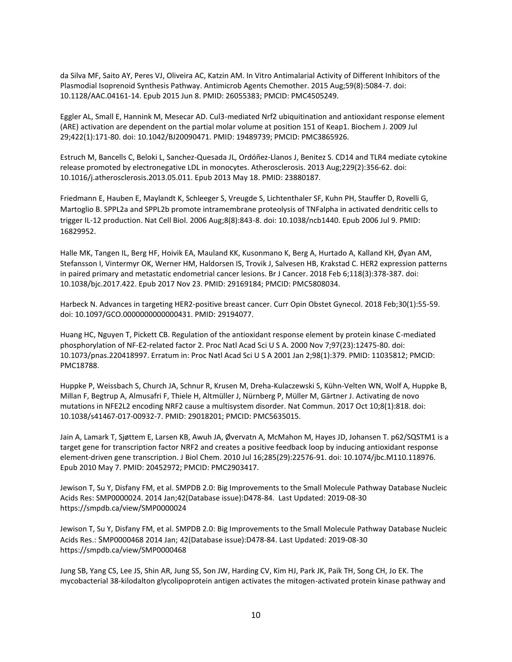da Silva MF, Saito AY, Peres VJ, Oliveira AC, Katzin AM. In Vitro Antimalarial Activity of Different Inhibitors of the Plasmodial Isoprenoid Synthesis Pathway. Antimicrob Agents Chemother. 2015 Aug;59(8):5084-7. doi: 10.1128/AAC.04161-14. Epub 2015 Jun 8. PMID: 26055383; PMCID: PMC4505249.

Eggler AL, Small E, Hannink M, Mesecar AD. Cul3-mediated Nrf2 ubiquitination and antioxidant response element (ARE) activation are dependent on the partial molar volume at position 151 of Keap1. Biochem J. 2009 Jul 29;422(1):171-80. doi: 10.1042/BJ20090471. PMID: 19489739; PMCID: PMC3865926.

Estruch M, Bancells C, Beloki L, Sanchez-Quesada JL, Ordóñez-Llanos J, Benitez S. CD14 and TLR4 mediate cytokine release promoted by electronegative LDL in monocytes. Atherosclerosis. 2013 Aug;229(2):356-62. doi: 10.1016/j.atherosclerosis.2013.05.011. Epub 2013 May 18. PMID: 23880187.

Friedmann E, Hauben E, Maylandt K, Schleeger S, Vreugde S, Lichtenthaler SF, Kuhn PH, Stauffer D, Rovelli G, Martoglio B. SPPL2a and SPPL2b promote intramembrane proteolysis of TNFalpha in activated dendritic cells to trigger IL-12 production. Nat Cell Biol. 2006 Aug;8(8):843-8. doi: 10.1038/ncb1440. Epub 2006 Jul 9. PMID: 16829952.

Halle MK, Tangen IL, Berg HF, Hoivik EA, Mauland KK, Kusonmano K, Berg A, Hurtado A, Kalland KH, Øyan AM, Stefansson I, Vintermyr OK, Werner HM, Haldorsen IS, Trovik J, Salvesen HB, Krakstad C. HER2 expression patterns in paired primary and metastatic endometrial cancer lesions. Br J Cancer. 2018 Feb 6;118(3):378-387. doi: 10.1038/bjc.2017.422. Epub 2017 Nov 23. PMID: 29169184; PMCID: PMC5808034.

Harbeck N. Advances in targeting HER2-positive breast cancer. Curr Opin Obstet Gynecol. 2018 Feb;30(1):55-59. doi: 10.1097/GCO.0000000000000431. PMID: 29194077.

Huang HC, Nguyen T, Pickett CB. Regulation of the antioxidant response element by protein kinase C-mediated phosphorylation of NF-E2-related factor 2. Proc Natl Acad Sci U S A. 2000 Nov 7;97(23):12475-80. doi: 10.1073/pnas.220418997. Erratum in: Proc Natl Acad Sci U S A 2001 Jan 2;98(1):379. PMID: 11035812; PMCID: PMC18788.

Huppke P, Weissbach S, Church JA, Schnur R, Krusen M, Dreha-Kulaczewski S, Kühn-Velten WN, Wolf A, Huppke B, Millan F, Begtrup A, Almusafri F, Thiele H, Altmüller J, Nürnberg P, Müller M, Gärtner J. Activating de novo mutations in NFE2L2 encoding NRF2 cause a multisystem disorder. Nat Commun. 2017 Oct 10;8(1):818. doi: 10.1038/s41467-017-00932-7. PMID: 29018201; PMCID: PMC5635015.

Jain A, Lamark T, Sjøttem E, Larsen KB, Awuh JA, Øvervatn A, McMahon M, Hayes JD, Johansen T. p62/SQSTM1 is a target gene for transcription factor NRF2 and creates a positive feedback loop by inducing antioxidant response element-driven gene transcription. J Biol Chem. 2010 Jul 16;285(29):22576-91. doi: 10.1074/jbc.M110.118976. Epub 2010 May 7. PMID: 20452972; PMCID: PMC2903417.

Jewison T, Su Y, Disfany FM, et al. SMPDB 2.0: Big Improvements to the Small Molecule Pathway Database Nucleic Acids Res: SMP0000024. 2014 Jan;42(Database issue):D478-84. Last Updated: 2019-08-30 https://smpdb.ca/view/SMP0000024

Jewison T, Su Y, Disfany FM, et al. SMPDB 2.0: Big Improvements to the Small Molecule Pathway Database Nucleic Acids Res.: SMP0000468 2014 Jan; 42(Database issue):D478-84. Last Updated: 2019-08-30 https://smpdb.ca/view/SMP0000468

Jung SB, Yang CS, Lee JS, Shin AR, Jung SS, Son JW, Harding CV, Kim HJ, Park JK, Paik TH, Song CH, Jo EK. The mycobacterial 38-kilodalton glycolipoprotein antigen activates the mitogen-activated protein kinase pathway and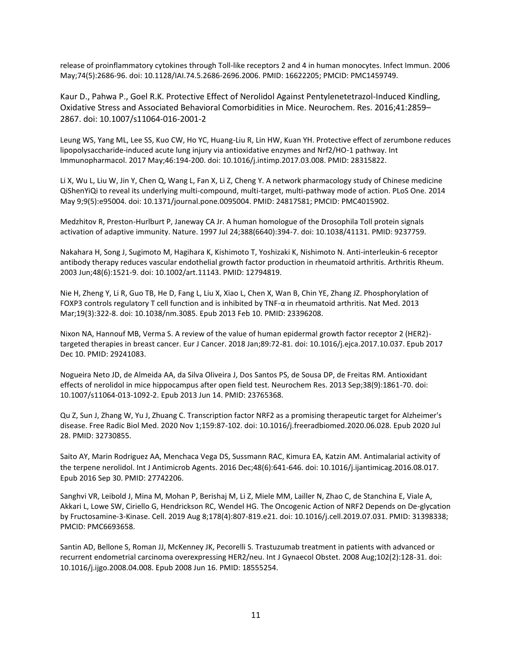release of proinflammatory cytokines through Toll-like receptors 2 and 4 in human monocytes. Infect Immun. 2006 May;74(5):2686-96. doi: 10.1128/IAI.74.5.2686-2696.2006. PMID: 16622205; PMCID: PMC1459749.

Kaur D., Pahwa P., Goel R.K. Protective Effect of Nerolidol Against Pentylenetetrazol-Induced Kindling, Oxidative Stress and Associated Behavioral Comorbidities in Mice. Neurochem. Res. 2016;41:2859– 2867. doi: 10.1007/s11064-016-2001-2

Leung WS, Yang ML, Lee SS, Kuo CW, Ho YC, Huang-Liu R, Lin HW, Kuan YH. Protective effect of zerumbone reduces lipopolysaccharide-induced acute lung injury via antioxidative enzymes and Nrf2/HO-1 pathway. Int Immunopharmacol. 2017 May;46:194-200. doi: 10.1016/j.intimp.2017.03.008. PMID: 28315822.

Li X, Wu L, Liu W, Jin Y, Chen Q, Wang L, Fan X, Li Z, Cheng Y. A network pharmacology study of Chinese medicine QiShenYiQi to reveal its underlying multi-compound, multi-target, multi-pathway mode of action. PLoS One. 2014 May 9;9(5):e95004. doi: 10.1371/journal.pone.0095004. PMID: 24817581; PMCID: PMC4015902.

Medzhitov R, Preston-Hurlburt P, Janeway CA Jr. A human homologue of the Drosophila Toll protein signals activation of adaptive immunity. Nature. 1997 Jul 24;388(6640):394-7. doi: 10.1038/41131. PMID: 9237759.

Nakahara H, Song J, Sugimoto M, Hagihara K, Kishimoto T, Yoshizaki K, Nishimoto N. Anti-interleukin-6 receptor antibody therapy reduces vascular endothelial growth factor production in rheumatoid arthritis. Arthritis Rheum. 2003 Jun;48(6):1521-9. doi: 10.1002/art.11143. PMID: 12794819.

Nie H, Zheng Y, Li R, Guo TB, He D, Fang L, Liu X, Xiao L, Chen X, Wan B, Chin YE, Zhang JZ. Phosphorylation of FOXP3 controls regulatory T cell function and is inhibited by TNF-α in rheumatoid arthritis. Nat Med. 2013 Mar;19(3):322-8. doi: 10.1038/nm.3085. Epub 2013 Feb 10. PMID: 23396208.

Nixon NA, Hannouf MB, Verma S. A review of the value of human epidermal growth factor receptor 2 (HER2) targeted therapies in breast cancer. Eur J Cancer. 2018 Jan;89:72-81. doi: 10.1016/j.ejca.2017.10.037. Epub 2017 Dec 10. PMID: 29241083.

Nogueira Neto JD, de Almeida AA, da Silva Oliveira J, Dos Santos PS, de Sousa DP, de Freitas RM. Antioxidant effects of nerolidol in mice hippocampus after open field test. Neurochem Res. 2013 Sep;38(9):1861-70. doi: 10.1007/s11064-013-1092-2. Epub 2013 Jun 14. PMID: 23765368.

Qu Z, Sun J, Zhang W, Yu J, Zhuang C. Transcription factor NRF2 as a promising therapeutic target for Alzheimer's disease. Free Radic Biol Med. 2020 Nov 1;159:87-102. doi: 10.1016/j.freeradbiomed.2020.06.028. Epub 2020 Jul 28. PMID: 32730855.

Saito AY, Marin Rodriguez AA, Menchaca Vega DS, Sussmann RAC, Kimura EA, Katzin AM. Antimalarial activity of the terpene nerolidol. Int J Antimicrob Agents. 2016 Dec;48(6):641-646. doi: 10.1016/j.ijantimicag.2016.08.017. Epub 2016 Sep 30. PMID: 27742206.

Sanghvi VR, Leibold J, Mina M, Mohan P, Berishaj M, Li Z, Miele MM, Lailler N, Zhao C, de Stanchina E, Viale A, Akkari L, Lowe SW, Ciriello G, Hendrickson RC, Wendel HG. The Oncogenic Action of NRF2 Depends on De-glycation by Fructosamine-3-Kinase. Cell. 2019 Aug 8;178(4):807-819.e21. doi: 10.1016/j.cell.2019.07.031. PMID: 31398338; PMCID: PMC6693658.

Santin AD, Bellone S, Roman JJ, McKenney JK, Pecorelli S. Trastuzumab treatment in patients with advanced or recurrent endometrial carcinoma overexpressing HER2/neu. Int J Gynaecol Obstet. 2008 Aug;102(2):128-31. doi: 10.1016/j.ijgo.2008.04.008. Epub 2008 Jun 16. PMID: 18555254.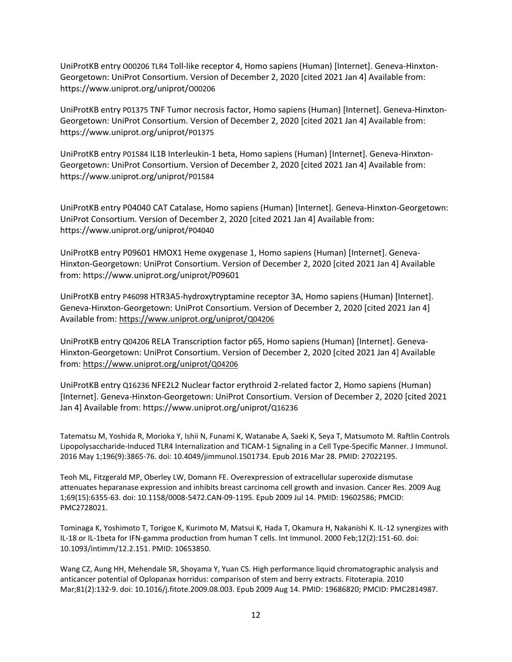UniProtKB entry O00206 TLR4 Toll-like receptor 4, Homo sapiens (Human) [Internet]. Geneva-Hinxton-Georgetown: UniProt Consortium. Version of December 2, 2020 [cited 2021 Jan 4] Available from: https://www.uniprot.org/uniprot/O00206

UniProtKB entry P01375 TNF Tumor necrosis factor, Homo sapiens (Human) [Internet]. Geneva-Hinxton-Georgetown: UniProt Consortium. Version of December 2, 2020 [cited 2021 Jan 4] Available from: https://www.uniprot.org/uniprot/P01375

UniProtKB entry P01584 IL1B Interleukin-1 beta, Homo sapiens (Human) [Internet]. Geneva-Hinxton-Georgetown: UniProt Consortium. Version of December 2, 2020 [cited 2021 Jan 4] Available from: https://www.uniprot.org/uniprot/P01584

UniProtKB entry P04040 CAT Catalase, Homo sapiens (Human) [Internet]. Geneva-Hinxton-Georgetown: UniProt Consortium. Version of December 2, 2020 [cited 2021 Jan 4] Available from: https://www.uniprot.org/uniprot/P04040

UniProtKB entry P09601 HMOX1 Heme oxygenase 1, Homo sapiens (Human) [Internet]. Geneva-Hinxton-Georgetown: UniProt Consortium. Version of December 2, 2020 [cited 2021 Jan 4] Available from: https://www.uniprot.org/uniprot/P09601

UniProtKB entry P46098 HTR3A5-hydroxytryptamine receptor 3A, Homo sapiens (Human) [Internet]. Geneva-Hinxton-Georgetown: UniProt Consortium. Version of December 2, 2020 [cited 2021 Jan 4] Available from: [https://www.uniprot.org/uniprot/](https://www.uniprot.org/uniprot/Q04206)[Q04206](https://www.uniprot.org/uniprot/Q04206)

UniProtKB entry Q04206 RELA Transcription factor p65, Homo sapiens (Human) [Internet]. Geneva-Hinxton-Georgetown: UniProt Consortium. Version of December 2, 2020 [cited 2021 Jan 4] Available from: [https://www.uniprot.org/uniprot/](https://www.uniprot.org/uniprot/Q04206)[Q04206](https://www.uniprot.org/uniprot/Q04206)

UniProtKB entry Q16236 NFE2L2 Nuclear factor erythroid 2-related factor 2, Homo sapiens (Human) [Internet]. Geneva-Hinxton-Georgetown: UniProt Consortium. Version of December 2, 2020 [cited 2021 Jan 4] Available from: https://www.uniprot.org/uniprot/Q16236

Tatematsu M, Yoshida R, Morioka Y, Ishii N, Funami K, Watanabe A, Saeki K, Seya T, Matsumoto M. Raftlin Controls Lipopolysaccharide-Induced TLR4 Internalization and TICAM-1 Signaling in a Cell Type-Specific Manner. J Immunol. 2016 May 1;196(9):3865-76. doi: 10.4049/jimmunol.1501734. Epub 2016 Mar 28. PMID: 27022195.

Teoh ML, Fitzgerald MP, Oberley LW, Domann FE. Overexpression of extracellular superoxide dismutase attenuates heparanase expression and inhibits breast carcinoma cell growth and invasion. Cancer Res. 2009 Aug 1;69(15):6355-63. doi: 10.1158/0008-5472.CAN-09-1195. Epub 2009 Jul 14. PMID: 19602586; PMCID: PMC2728021.

Tominaga K, Yoshimoto T, Torigoe K, Kurimoto M, Matsui K, Hada T, Okamura H, Nakanishi K. IL-12 synergizes with IL-18 or IL-1beta for IFN-gamma production from human T cells. Int Immunol. 2000 Feb;12(2):151-60. doi: 10.1093/intimm/12.2.151. PMID: 10653850.

Wang CZ, Aung HH, Mehendale SR, Shoyama Y, Yuan CS. High performance liquid chromatographic analysis and anticancer potential of Oplopanax horridus: comparison of stem and berry extracts. Fitoterapia. 2010 Mar;81(2):132-9. doi: 10.1016/j.fitote.2009.08.003. Epub 2009 Aug 14. PMID: 19686820; PMCID: PMC2814987.